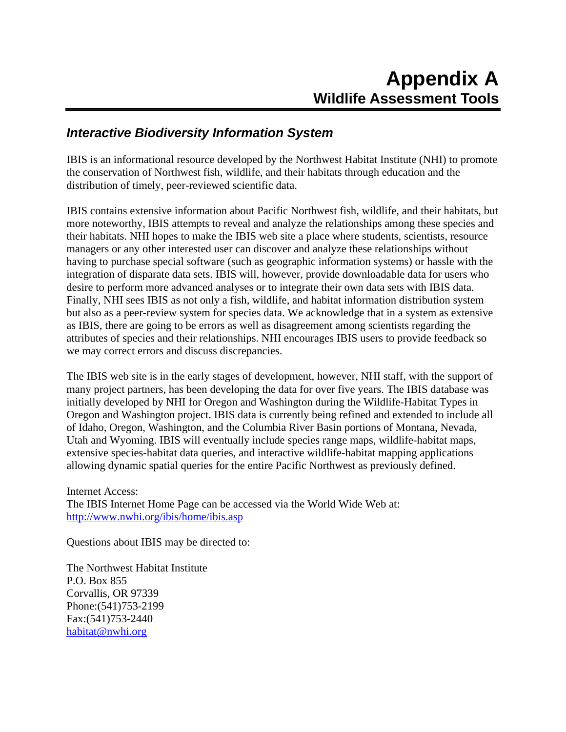## *Interactive Biodiversity Information System*

IBIS is an informational resource developed by the Northwest Habitat Institute (NHI) to promote the conservation of Northwest fish, wildlife, and their habitats through education and the distribution of timely, peer-reviewed scientific data.

IBIS contains extensive information about Pacific Northwest fish, wildlife, and their habitats, but more noteworthy, IBIS attempts to reveal and analyze the relationships among these species and their habitats. NHI hopes to make the IBIS web site a place where students, scientists, resource managers or any other interested user can discover and analyze these relationships without having to purchase special software (such as geographic information systems) or hassle with the integration of disparate data sets. IBIS will, however, provide downloadable data for users who desire to perform more advanced analyses or to integrate their own data sets with IBIS data. Finally, NHI sees IBIS as not only a fish, wildlife, and habitat information distribution system but also as a peer-review system for species data. We acknowledge that in a system as extensive as IBIS, there are going to be errors as well as disagreement among scientists regarding the attributes of species and their relationships. NHI encourages IBIS users to provide feedback so we may correct errors and discuss discrepancies.

The IBIS web site is in the early stages of development, however, NHI staff, with the support of many project partners, has been developing the data for over five years. The IBIS database was initially developed by NHI for Oregon and Washington during the Wildlife-Habitat Types in Oregon and Washington project. IBIS data is currently being refined and extended to include all of Idaho, Oregon, Washington, and the Columbia River Basin portions of Montana, Nevada, Utah and Wyoming. IBIS will eventually include species range maps, wildlife-habitat maps, extensive species-habitat data queries, and interactive wildlife-habitat mapping applications allowing dynamic spatial queries for the entire Pacific Northwest as previously defined.

Internet Access: The IBIS Internet Home Page can be accessed via the World Wide Web at: <http://www.nwhi.org/ibis/home/ibis.asp>

Questions about IBIS may be directed to:

The Northwest Habitat Institute P.O. Box 855 Corvallis, OR 97339 Phone:(541)753-2199 Fax:(541)753-2440 [habitat@nwhi.org](mailto:habitat@nwhi.org)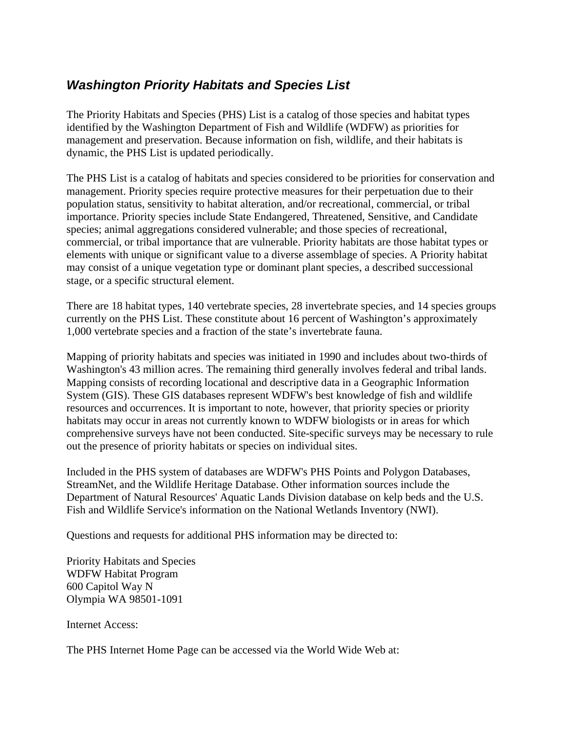# *Washington Priority Habitats and Species List*

The Priority Habitats and Species (PHS) List is a catalog of those species and habitat types identified by the Washington Department of Fish and Wildlife (WDFW) as priorities for management and preservation. Because information on fish, wildlife, and their habitats is dynamic, the PHS List is updated periodically.

The PHS List is a catalog of habitats and species considered to be priorities for conservation and management. Priority species require protective measures for their perpetuation due to their population status, sensitivity to habitat alteration, and/or recreational, commercial, or tribal importance. Priority species include State Endangered, Threatened, Sensitive, and Candidate species; animal aggregations considered vulnerable; and those species of recreational, commercial, or tribal importance that are vulnerable. Priority habitats are those habitat types or elements with unique or significant value to a diverse assemblage of species. A Priority habitat may consist of a unique vegetation type or dominant plant species, a described successional stage, or a specific structural element.

There are 18 habitat types, 140 vertebrate species, 28 invertebrate species, and 14 species groups currently on the PHS List. These constitute about 16 percent of Washington's approximately 1,000 vertebrate species and a fraction of the state's invertebrate fauna.

Mapping of priority habitats and species was initiated in 1990 and includes about two-thirds of Washington's 43 million acres. The remaining third generally involves federal and tribal lands. Mapping consists of recording locational and descriptive data in a Geographic Information System (GIS). These GIS databases represent WDFW's best knowledge of fish and wildlife resources and occurrences. It is important to note, however, that priority species or priority habitats may occur in areas not currently known to WDFW biologists or in areas for which comprehensive surveys have not been conducted. Site-specific surveys may be necessary to rule out the presence of priority habitats or species on individual sites.

Included in the PHS system of databases are WDFW's PHS Points and Polygon Databases, StreamNet, and the Wildlife Heritage Database. Other information sources include the Department of Natural Resources' Aquatic Lands Division database on kelp beds and the U.S. Fish and Wildlife Service's information on the National Wetlands Inventory (NWI).

Questions and requests for additional PHS information may be directed to:

Priority Habitats and Species WDFW Habitat Program 600 Capitol Way N Olympia WA 98501-1091

Internet Access:

The PHS Internet Home Page can be accessed via the World Wide Web at: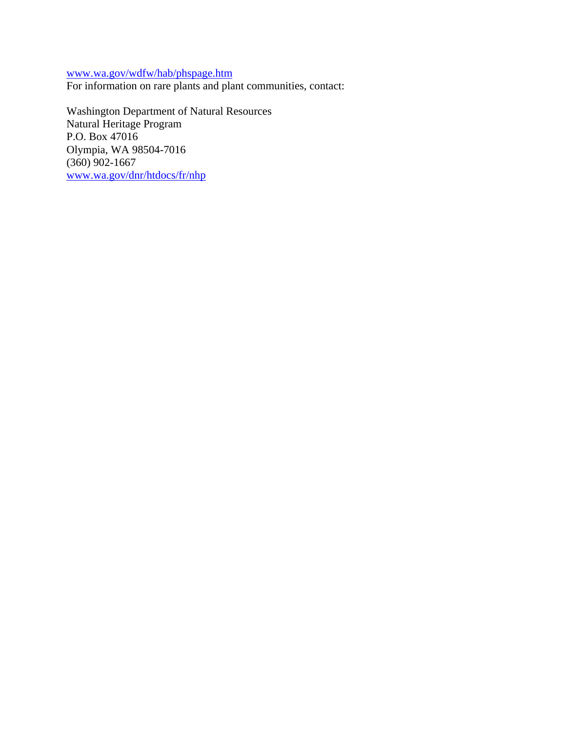[www.wa.gov/wdfw/hab/phspage.htm](http://www.wa.gov/wdfw/hab/phspage.htm)

For information on rare plants and plant communities, contact:

Washington Department of Natural Resources Natural Heritage Program P.O. Box 47016 Olympia, WA 98504-7016 (360) 902-1667 [www.wa.gov/dnr/htdocs/fr/nhp](http://www.wa.gov/dnr/htdocs/fr/nhp)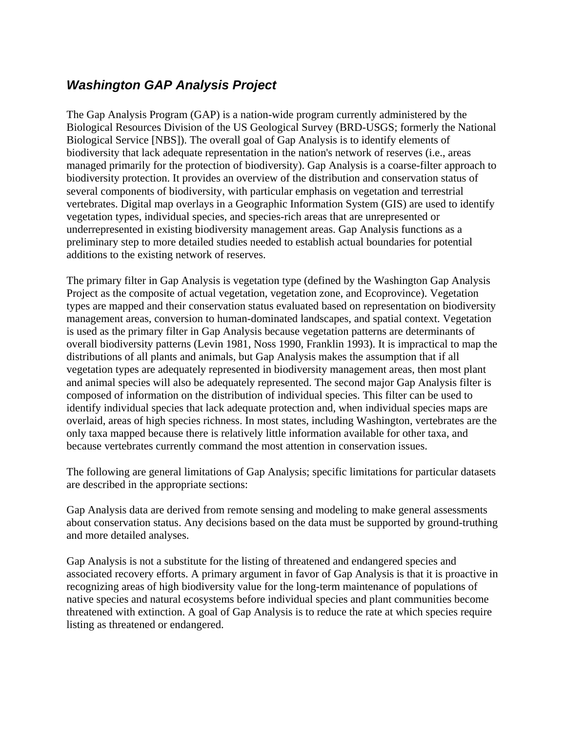# *Washington GAP Analysis Project*

The Gap Analysis Program (GAP) is a nation-wide program currently administered by the Biological Resources Division of the US Geological Survey (BRD-USGS; formerly the National Biological Service [NBS]). The overall goal of Gap Analysis is to identify elements of biodiversity that lack adequate representation in the nation's network of reserves (i.e., areas managed primarily for the protection of biodiversity). Gap Analysis is a coarse-filter approach to biodiversity protection. It provides an overview of the distribution and conservation status of several components of biodiversity, with particular emphasis on vegetation and terrestrial vertebrates. Digital map overlays in a Geographic Information System (GIS) are used to identify vegetation types, individual species, and species-rich areas that are unrepresented or underrepresented in existing biodiversity management areas. Gap Analysis functions as a preliminary step to more detailed studies needed to establish actual boundaries for potential additions to the existing network of reserves.

The primary filter in Gap Analysis is vegetation type (defined by the Washington Gap Analysis Project as the composite of actual vegetation, vegetation zone, and Ecoprovince). Vegetation types are mapped and their conservation status evaluated based on representation on biodiversity management areas, conversion to human-dominated landscapes, and spatial context. Vegetation is used as the primary filter in Gap Analysis because vegetation patterns are determinants of overall biodiversity patterns (Levin 1981, Noss 1990, Franklin 1993). It is impractical to map the distributions of all plants and animals, but Gap Analysis makes the assumption that if all vegetation types are adequately represented in biodiversity management areas, then most plant and animal species will also be adequately represented. The second major Gap Analysis filter is composed of information on the distribution of individual species. This filter can be used to identify individual species that lack adequate protection and, when individual species maps are overlaid, areas of high species richness. In most states, including Washington, vertebrates are the only taxa mapped because there is relatively little information available for other taxa, and because vertebrates currently command the most attention in conservation issues.

The following are general limitations of Gap Analysis; specific limitations for particular datasets are described in the appropriate sections:

Gap Analysis data are derived from remote sensing and modeling to make general assessments about conservation status. Any decisions based on the data must be supported by ground-truthing and more detailed analyses.

Gap Analysis is not a substitute for the listing of threatened and endangered species and associated recovery efforts. A primary argument in favor of Gap Analysis is that it is proactive in recognizing areas of high biodiversity value for the long-term maintenance of populations of native species and natural ecosystems before individual species and plant communities become threatened with extinction. A goal of Gap Analysis is to reduce the rate at which species require listing as threatened or endangered.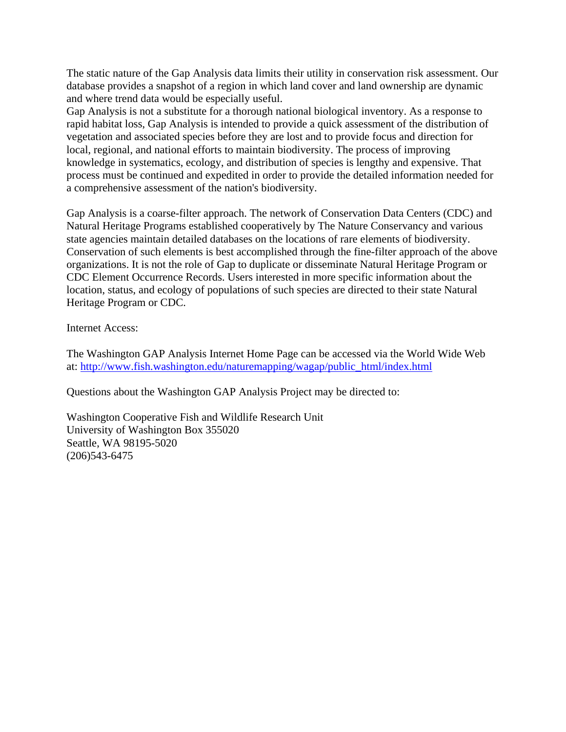The static nature of the Gap Analysis data limits their utility in conservation risk assessment. Our database provides a snapshot of a region in which land cover and land ownership are dynamic and where trend data would be especially useful.

Gap Analysis is not a substitute for a thorough national biological inventory. As a response to rapid habitat loss, Gap Analysis is intended to provide a quick assessment of the distribution of vegetation and associated species before they are lost and to provide focus and direction for local, regional, and national efforts to maintain biodiversity. The process of improving knowledge in systematics, ecology, and distribution of species is lengthy and expensive. That process must be continued and expedited in order to provide the detailed information needed for a comprehensive assessment of the nation's biodiversity.

Gap Analysis is a coarse-filter approach. The network of Conservation Data Centers (CDC) and Natural Heritage Programs established cooperatively by The Nature Conservancy and various state agencies maintain detailed databases on the locations of rare elements of biodiversity. Conservation of such elements is best accomplished through the fine-filter approach of the above organizations. It is not the role of Gap to duplicate or disseminate Natural Heritage Program or CDC Element Occurrence Records. Users interested in more specific information about the location, status, and ecology of populations of such species are directed to their state Natural Heritage Program or CDC.

Internet Access:

The Washington GAP Analysis Internet Home Page can be accessed via the World Wide Web at: [http://www.fish.washington.edu/naturemapping/wagap/public\\_html/index.html](http://www.fish.washington.edu/naturemapping/wagap/public_html/index.html)

Questions about the Washington GAP Analysis Project may be directed to:

Washington Cooperative Fish and Wildlife Research Unit University of Washington Box 355020 Seattle, WA 98195-5020 (206)543-6475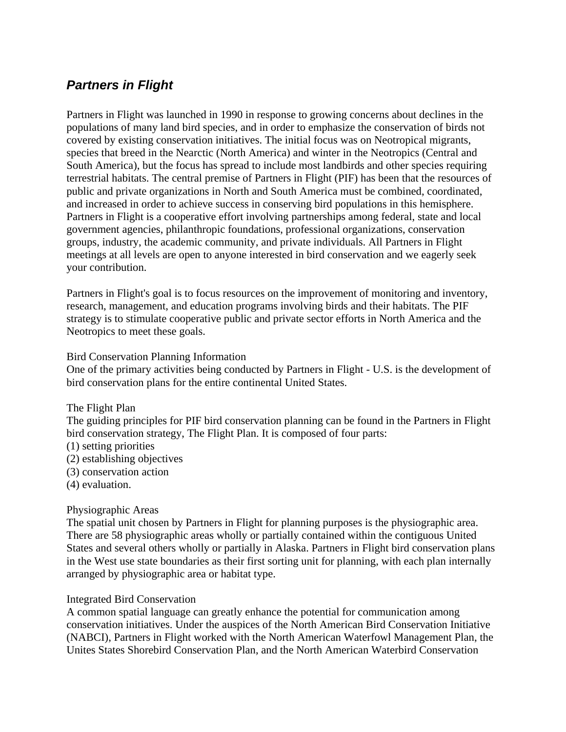# *Partners in Flight*

Partners in Flight was launched in 1990 in response to growing concerns about declines in the populations of many land bird species, and in order to emphasize the conservation of birds not covered by existing conservation initiatives. The initial focus was on Neotropical migrants, species that breed in the Nearctic (North America) and winter in the Neotropics (Central and South America), but the focus has spread to include most landbirds and other species requiring terrestrial habitats. The central premise of Partners in Flight (PIF) has been that the resources of public and private organizations in North and South America must be combined, coordinated, and increased in order to achieve success in conserving bird populations in this hemisphere. Partners in Flight is a cooperative effort involving partnerships among federal, state and local government agencies, philanthropic foundations, professional organizations, conservation groups, industry, the academic community, and private individuals. All Partners in Flight meetings at all levels are open to anyone interested in bird conservation and we eagerly seek your contribution.

Partners in Flight's goal is to focus resources on the improvement of monitoring and inventory, research, management, and education programs involving birds and their habitats. The PIF strategy is to stimulate cooperative public and private sector efforts in North America and the Neotropics to meet these goals.

### Bird Conservation Planning Information

One of the primary activities being conducted by Partners in Flight - U.S. is the development of bird conservation plans for the entire continental United States.

The Flight Plan

The guiding principles for PIF bird conservation planning can be found in the Partners in Flight bird conservation strategy, The Flight Plan. It is composed of four parts:

- (1) setting priorities
- (2) establishing objectives
- (3) conservation action
- (4) evaluation.

## Physiographic Areas

The spatial unit chosen by Partners in Flight for planning purposes is the physiographic area. There are 58 physiographic areas wholly or partially contained within the contiguous United States and several others wholly or partially in Alaska. Partners in Flight bird conservation plans in the West use state boundaries as their first sorting unit for planning, with each plan internally arranged by physiographic area or habitat type.

## Integrated Bird Conservation

A common spatial language can greatly enhance the potential for communication among conservation initiatives. Under the auspices of the North American Bird Conservation Initiative (NABCI), Partners in Flight worked with the North American Waterfowl Management Plan, the Unites States Shorebird Conservation Plan, and the North American Waterbird Conservation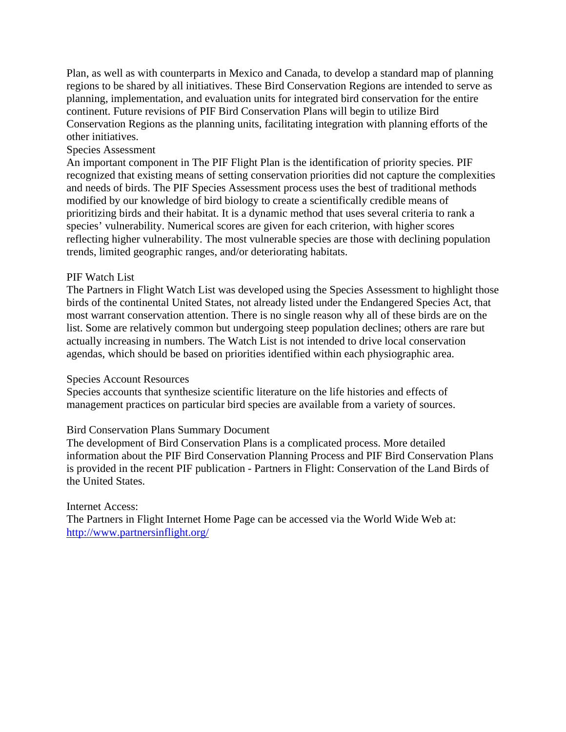Plan, as well as with counterparts in Mexico and Canada, to develop a standard map of planning regions to be shared by all initiatives. These Bird Conservation Regions are intended to serve as planning, implementation, and evaluation units for integrated bird conservation for the entire continent. Future revisions of PIF Bird Conservation Plans will begin to utilize Bird Conservation Regions as the planning units, facilitating integration with planning efforts of the other initiatives.

### Species Assessment

An important component in The PIF Flight Plan is the identification of priority species. PIF recognized that existing means of setting conservation priorities did not capture the complexities and needs of birds. The PIF Species Assessment process uses the best of traditional methods modified by our knowledge of bird biology to create a scientifically credible means of prioritizing birds and their habitat. It is a dynamic method that uses several criteria to rank a species' vulnerability. Numerical scores are given for each criterion, with higher scores reflecting higher vulnerability. The most vulnerable species are those with declining population trends, limited geographic ranges, and/or deteriorating habitats.

### PIF Watch List

The Partners in Flight Watch List was developed using the Species Assessment to highlight those birds of the continental United States, not already listed under the Endangered Species Act, that most warrant conservation attention. There is no single reason why all of these birds are on the list. Some are relatively common but undergoing steep population declines; others are rare but actually increasing in numbers. The Watch List is not intended to drive local conservation agendas, which should be based on priorities identified within each physiographic area.

### Species Account Resources

Species accounts that synthesize scientific literature on the life histories and effects of management practices on particular bird species are available from a variety of sources.

### Bird Conservation Plans Summary Document

The development of Bird Conservation Plans is a complicated process. More detailed information about the PIF Bird Conservation Planning Process and PIF Bird Conservation Plans is provided in the recent PIF publication - Partners in Flight: Conservation of the Land Birds of the United States.

### Internet Access:

The Partners in Flight Internet Home Page can be accessed via the World Wide Web at: <http://www.partnersinflight.org/>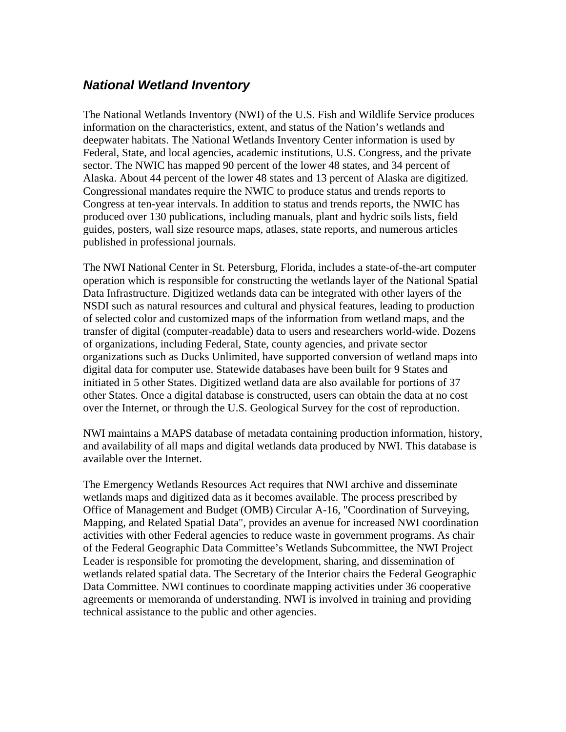## *National Wetland Inventory*

The National Wetlands Inventory (NWI) of the U.S. Fish and Wildlife Service produces information on the characteristics, extent, and status of the Nation's wetlands and deepwater habitats. The National Wetlands Inventory Center information is used by Federal, State, and local agencies, academic institutions, U.S. Congress, and the private sector. The NWIC has mapped 90 percent of the lower 48 states, and 34 percent of Alaska. About 44 percent of the lower 48 states and 13 percent of Alaska are digitized. Congressional mandates require the NWIC to produce status and trends reports to Congress at ten-year intervals. In addition to status and trends reports, the NWIC has produced over 130 publications, including manuals, plant and hydric soils lists, field guides, posters, wall size resource maps, atlases, state reports, and numerous articles published in professional journals.

The NWI National Center in St. Petersburg, Florida, includes a state-of-the-art computer operation which is responsible for constructing the wetlands layer of the National Spatial Data Infrastructure. Digitized wetlands data can be integrated with other layers of the NSDI such as natural resources and cultural and physical features, leading to production of selected color and customized maps of the information from wetland maps, and the transfer of digital (computer-readable) data to users and researchers world-wide. Dozens of organizations, including Federal, State, county agencies, and private sector organizations such as Ducks Unlimited, have supported conversion of wetland maps into digital data for computer use. Statewide databases have been built for 9 States and initiated in 5 other States. Digitized wetland data are also available for portions of 37 other States. Once a digital database is constructed, users can obtain the data at no cost over the Internet, or through the U.S. Geological Survey for the cost of reproduction.

NWI maintains a MAPS database of metadata containing production information, history, and availability of all maps and digital wetlands data produced by NWI. This database is available over the Internet.

The Emergency Wetlands Resources Act requires that NWI archive and disseminate wetlands maps and digitized data as it becomes available. The process prescribed by Office of Management and Budget (OMB) Circular A-16, "Coordination of Surveying, Mapping, and Related Spatial Data", provides an avenue for increased NWI coordination activities with other Federal agencies to reduce waste in government programs. As chair of the Federal Geographic Data Committee's Wetlands Subcommittee, the NWI Project Leader is responsible for promoting the development, sharing, and dissemination of wetlands related spatial data. The Secretary of the Interior chairs the Federal Geographic Data Committee. NWI continues to coordinate mapping activities under 36 cooperative agreements or memoranda of understanding. NWI is involved in training and providing technical assistance to the public and other agencies.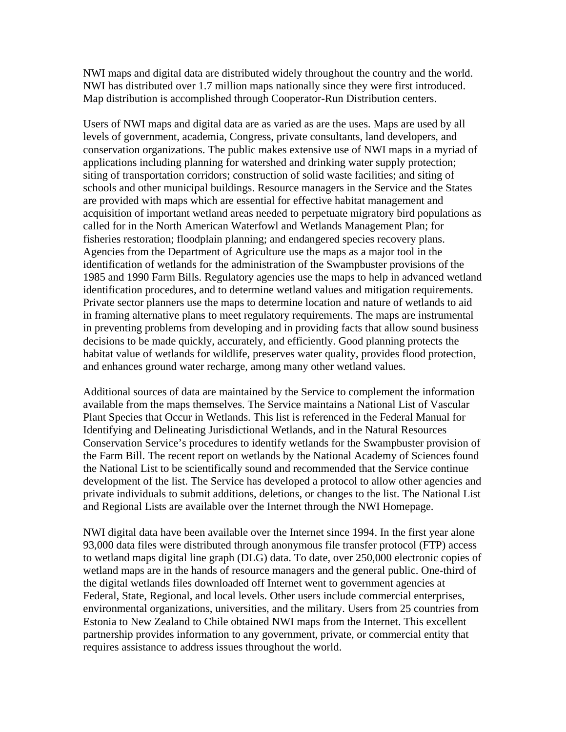NWI maps and digital data are distributed widely throughout the country and the world. NWI has distributed over 1.7 million maps nationally since they were first introduced. Map distribution is accomplished through Cooperator-Run Distribution centers.

Users of NWI maps and digital data are as varied as are the uses. Maps are used by all levels of government, academia, Congress, private consultants, land developers, and conservation organizations. The public makes extensive use of NWI maps in a myriad of applications including planning for watershed and drinking water supply protection; siting of transportation corridors; construction of solid waste facilities; and siting of schools and other municipal buildings. Resource managers in the Service and the States are provided with maps which are essential for effective habitat management and acquisition of important wetland areas needed to perpetuate migratory bird populations as called for in the North American Waterfowl and Wetlands Management Plan; for fisheries restoration; floodplain planning; and endangered species recovery plans. Agencies from the Department of Agriculture use the maps as a major tool in the identification of wetlands for the administration of the Swampbuster provisions of the 1985 and 1990 Farm Bills. Regulatory agencies use the maps to help in advanced wetland identification procedures, and to determine wetland values and mitigation requirements. Private sector planners use the maps to determine location and nature of wetlands to aid in framing alternative plans to meet regulatory requirements. The maps are instrumental in preventing problems from developing and in providing facts that allow sound business decisions to be made quickly, accurately, and efficiently. Good planning protects the habitat value of wetlands for wildlife, preserves water quality, provides flood protection, and enhances ground water recharge, among many other wetland values.

Additional sources of data are maintained by the Service to complement the information available from the maps themselves. The Service maintains a National List of Vascular Plant Species that Occur in Wetlands. This list is referenced in the Federal Manual for Identifying and Delineating Jurisdictional Wetlands, and in the Natural Resources Conservation Service's procedures to identify wetlands for the Swampbuster provision of the Farm Bill. The recent report on wetlands by the National Academy of Sciences found the National List to be scientifically sound and recommended that the Service continue development of the list. The Service has developed a protocol to allow other agencies and private individuals to submit additions, deletions, or changes to the list. The National List and Regional Lists are available over the Internet through the NWI Homepage.

NWI digital data have been available over the Internet since 1994. In the first year alone 93,000 data files were distributed through anonymous file transfer protocol (FTP) access to wetland maps digital line graph (DLG) data. To date, over 250,000 electronic copies of wetland maps are in the hands of resource managers and the general public. One-third of the digital wetlands files downloaded off Internet went to government agencies at Federal, State, Regional, and local levels. Other users include commercial enterprises, environmental organizations, universities, and the military. Users from 25 countries from Estonia to New Zealand to Chile obtained NWI maps from the Internet. This excellent partnership provides information to any government, private, or commercial entity that requires assistance to address issues throughout the world.